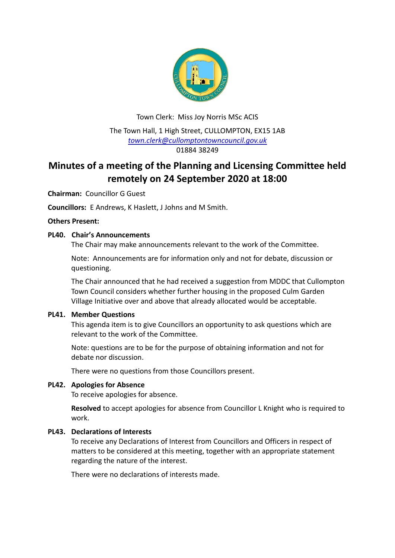

Town Clerk: Miss Joy Norris MSc ACIS The Town Hall, 1 High Street, CULLOMPTON, EX15 1AB *[town.clerk@cullomptontowncouncil.gov.uk](mailto:town.clerk@cullomptontowncouncil.gov.uk)* 01884 38249

# **Minutes of a meeting of the Planning and Licensing Committee held remotely on 24 September 2020 at 18:00**

**Chairman:** Councillor G Guest

**Councillors:** E Andrews, K Haslett, J Johns and M Smith.

## **Others Present:**

## **PL40. Chair's Announcements**

The Chair may make announcements relevant to the work of the Committee.

Note: Announcements are for information only and not for debate, discussion or questioning.

The Chair announced that he had received a suggestion from MDDC that Cullompton Town Council considers whether further housing in the proposed Culm Garden Village Initiative over and above that already allocated would be acceptable.

## **PL41. Member Questions**

This agenda item is to give Councillors an opportunity to ask questions which are relevant to the work of the Committee.

Note: questions are to be for the purpose of obtaining information and not for debate nor discussion.

There were no questions from those Councillors present.

## **PL42. Apologies for Absence**

To receive apologies for absence.

**Resolved** to accept apologies for absence from Councillor L Knight who is required to work.

## **PL43. Declarations of Interests**

To receive any Declarations of Interest from Councillors and Officers in respect of matters to be considered at this meeting, together with an appropriate statement regarding the nature of the interest.

There were no declarations of interests made.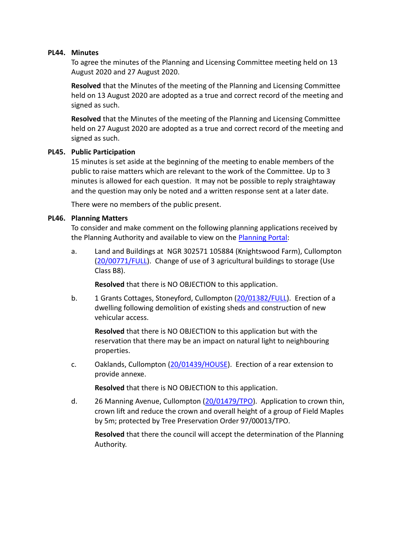#### **PL44. Minutes**

To agree the minutes of the Planning and Licensing Committee meeting held on 13 August 2020 and 27 August 2020.

**Resolved** that the Minutes of the meeting of the Planning and Licensing Committee held on 13 August 2020 are adopted as a true and correct record of the meeting and signed as such.

**Resolved** that the Minutes of the meeting of the Planning and Licensing Committee held on 27 August 2020 are adopted as a true and correct record of the meeting and signed as such.

#### **PL45. Public Participation**

15 minutes is set aside at the beginning of the meeting to enable members of the public to raise matters which are relevant to the work of the Committee. Up to 3 minutes is allowed for each question. It may not be possible to reply straightaway and the question may only be noted and a written response sent at a later date.

There were no members of the public present.

#### **PL46. Planning Matters**

To consider and make comment on the following planning applications received by the Planning Authority and available to view on the [Planning Portal:](https://planning.middevon.gov.uk/online-applications/applicationDetails.do?activeTab=documents&keyVal=QEYF1XKS05K00)

a. Land and Buildings at NGR 302571 105884 (Knightswood Farm), Cullompton [\(20/00771/FULL\)](https://planning.middevon.gov.uk/online-applications/applicationDetails.do?activeTab=documents&keyVal=QAZI2UKS07T00). Change of use of 3 agricultural buildings to storage (Use Class B8).

**Resolved** that there is NO OBJECTION to this application.

b. 1 Grants Cottages, Stoneyford, Cullompton [\(20/01382/FULL\)](https://planning.middevon.gov.uk/online-applications/applicationDetails.do?activeTab=documents&keyVal=QFOFQSKS05K00). Erection of a dwelling following demolition of existing sheds and construction of new vehicular access.

**Resolved** that there is NO OBJECTION to this application but with the reservation that there may be an impact on natural light to neighbouring properties.

c. Oaklands, Cullompton [\(20/01439/HOUSE\)](https://planning.middevon.gov.uk/online-applications/applicationDetails.do?activeTab=documents&keyVal=QGA1YDKS04G00). Erection of a rear extension to provide annexe.

**Resolved** that there is NO OBJECTION to this application.

d. 26 Manning Avenue, Cullompton [\(20/01479/TPO\)](https://planning.middevon.gov.uk/online-applications/applicationDetails.do?activeTab=documents&keyVal=QGP7JVKS07T00). Application to crown thin, crown lift and reduce the crown and overall height of a group of Field Maples by 5m; protected by Tree Preservation Order 97/00013/TPO.

**Resolved** that there the council will accept the determination of the Planning Authority.